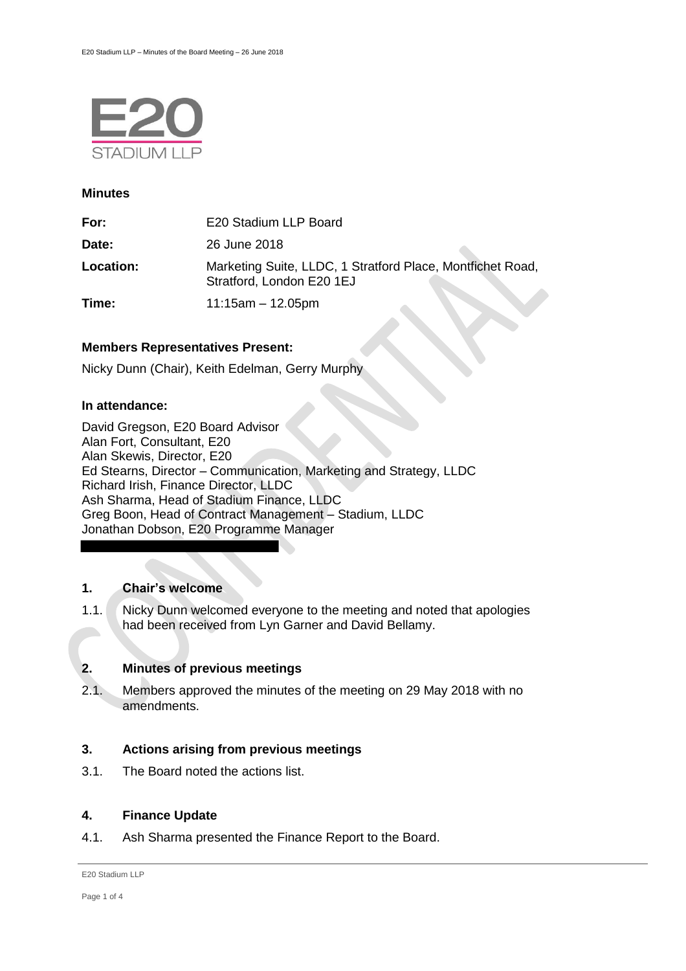

#### **Minutes**

| For:      | E20 Stadium LLP Board                                                                   |
|-----------|-----------------------------------------------------------------------------------------|
| Date:     | 26 June 2018                                                                            |
| Location: | Marketing Suite, LLDC, 1 Stratford Place, Montfichet Road,<br>Stratford, London E20 1EJ |
| Time:     | $11:15am - 12.05pm$                                                                     |

## **Members Representatives Present:**

Nicky Dunn (Chair), Keith Edelman, Gerry Murphy

### **In attendance:**

David Gregson, E20 Board Advisor Alan Fort, Consultant, E20 Alan Skewis, Director, E20 Ed Stearns, Director – Communication, Marketing and Strategy, LLDC Richard Irish, Finance Director, LLDC Ash Sharma, Head of Stadium Finance, LLDC Greg Boon, Head of Contract Management – Stadium, LLDC Jonathan Dobson, E20 Programme Manager

# **1. Chair's welcome**

1.1. Nicky Dunn welcomed everyone to the meeting and noted that apologies had been received from Lyn Garner and David Bellamy.

# **2. Minutes of previous meetings**

2.1. Members approved the minutes of the meeting on 29 May 2018 with no amendments.

### **3. Actions arising from previous meetings**

3.1. The Board noted the actions list.

## **4. Finance Update**

4.1. Ash Sharma presented the Finance Report to the Board.

E20 Stadium LLP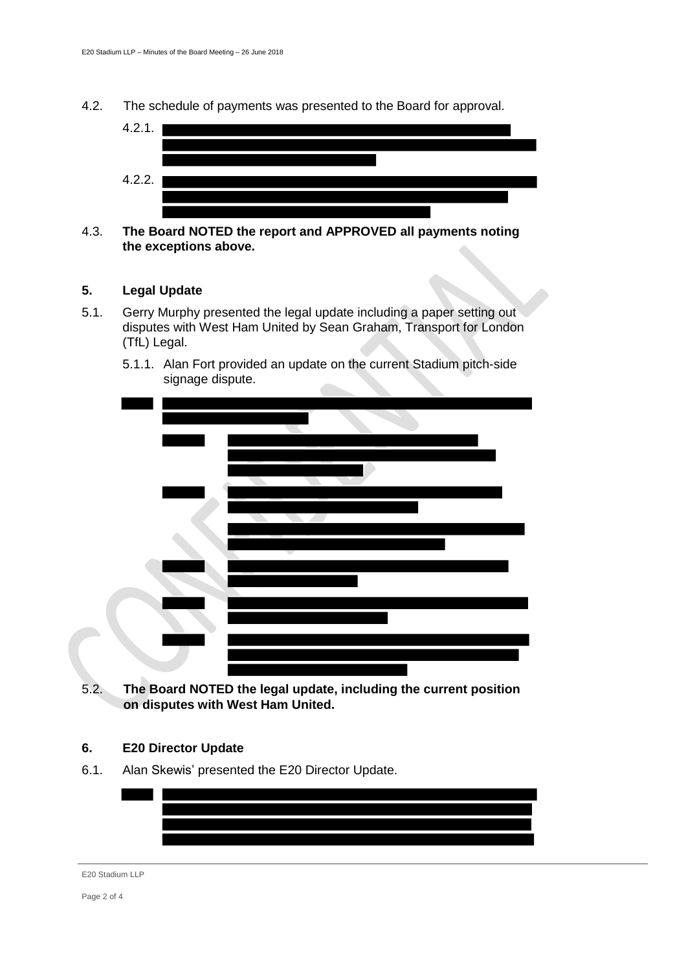4.2. The schedule of payments was presented to the Board for approval.



# 4.3. **The Board NOTED the report and APPROVED all payments noting the exceptions above.**

# **5. Legal Update**

5.1. Gerry Murphy presented the legal update including a paper setting out disputes with West Ham United by Sean Graham, Transport for London (TfL) Legal.





5.2. **The Board NOTED the legal update, including the current position on disputes with West Ham United.**

### **6. E20 Director Update**

6.1. Alan Skewis' presented the E20 Director Update.



#### E20 Stadium LLP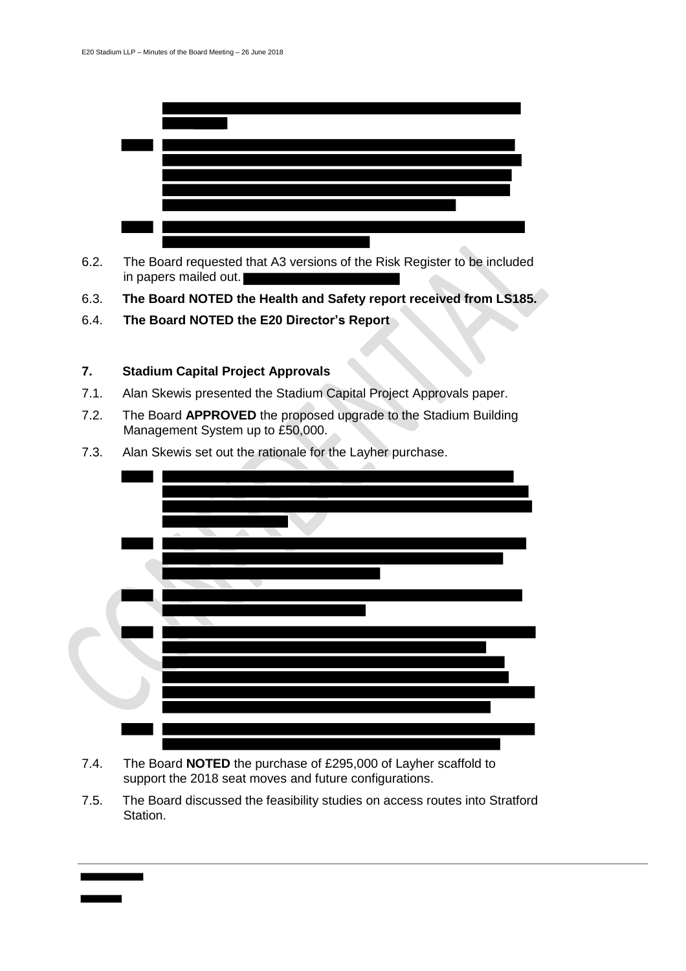

- 6.2. The Board requested that A3 versions of the Risk Register to be included in papers mailed out.
- 6.3. **The Board NOTED the Health and Safety report received from LS185.**
- 6.4. **The Board NOTED the E20 Director's Report**

# **7. Stadium Capital Project Approvals**

- 7.1. Alan Skewis presented the Stadium Capital Project Approvals paper.
- 7.2. The Board **APPROVED** the proposed upgrade to the Stadium Building Management System up to £50,000.



7.3. Alan Skewis set out the rationale for the Layher purchase.

- 7.4. The Board **NOTED** the purchase of £295,000 of Layher scaffold to support the 2018 seat moves and future configurations.
- 7.5. The Board discussed the feasibility studies on access routes into Stratford Station.